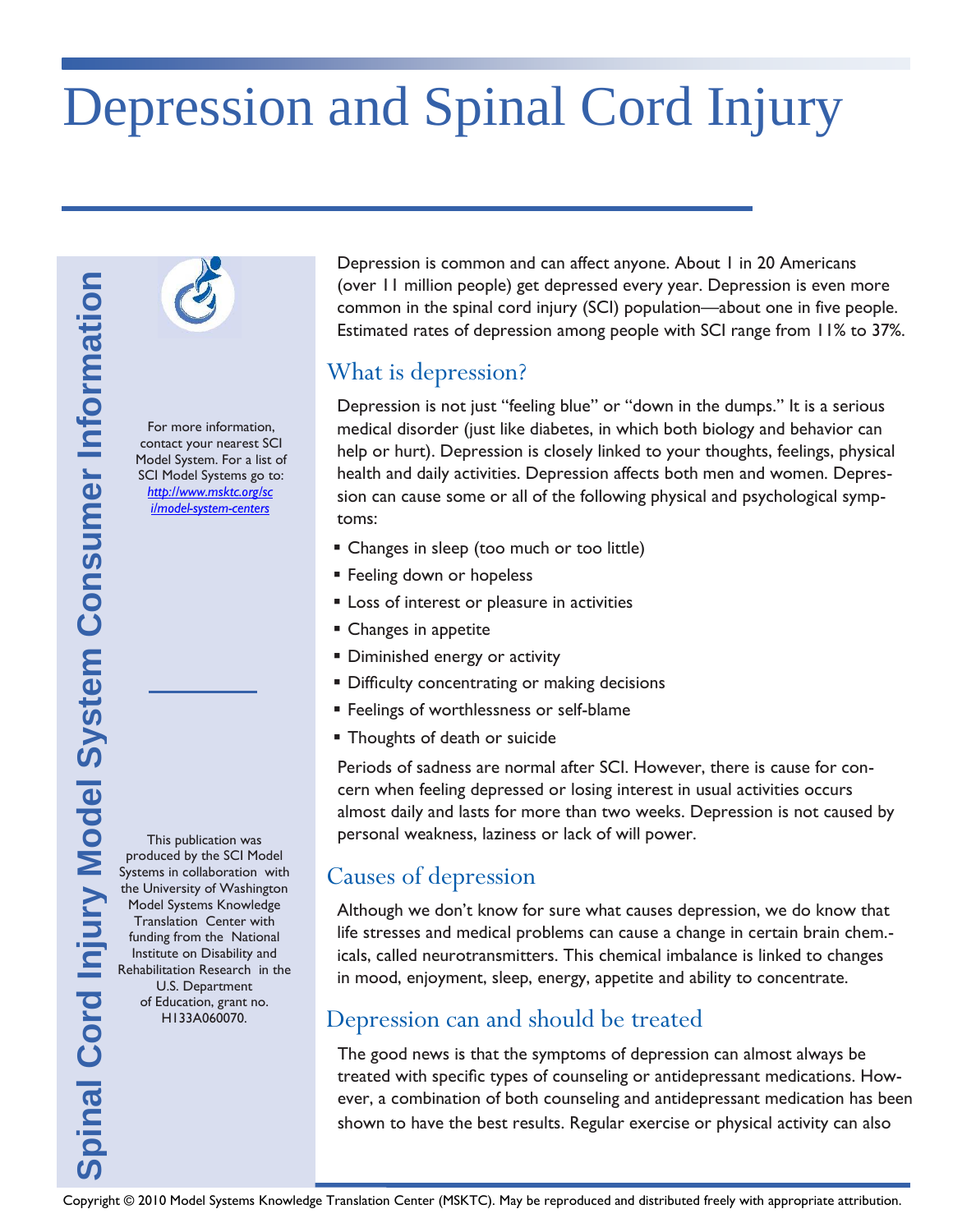# Depression and Spinal Cord Injury

For more information, contact your nearest SCI Model System. For a list of SCI Model Systems go to: *[http://www.msktc.org/sc](http://www.msktc.org/sci/model-system-centers) [i/model-system-centers](http://www.msktc.org/sci/model-system-centers)*

This publication was produced by the SCI Model Systems in collaboration with the University of Washington Model Systems Knowledge Translation Center with funding from the National Institute on Disability and Rehabilitation Research in the U.S. Department of Education, grant no. H133A060070.

Depression is common and can affect anyone. About 1 in 20 Americans (over 11 million people) get depressed every year. Depression is even more common in the spinal cord injury (SCI) population—about one in five people. Estimated rates of depression among people with SCI range from 11% to 37%.

# What is depression?

Copyright Cord II multipun people yet depression aroma people with SCI range from 11% to 37%.<br>
The more information.<br>
Copyright Cord Copyright Cord Interview in the distribution. The cord interview in the distribution Cord Depression is not just "feeling blue" or "down in the dumps." It is a serious medical disorder (just like diabetes, in which both biology and behavior can help or hurt). Depression is closely linked to your thoughts, feelings, physical health and daily activities. Depression affects both men and women. Depression can cause some or all of the following physical and psychological symptoms:

- **Example 1** Changes in sleep (too much or too little)
- **Feeling down or hopeless**
- **EXEC** Loss of interest or pleasure in activities
- **Changes in appetite**
- **Diminished energy or activity**
- **Difficulty concentrating or making decisions**
- **Feelings of worthlessness or self-blame**
- **Thoughts of death or suicide**

Periods of sadness are normal after SCI. However, there is cause for concern when feeling depressed or losing interest in usual activities occurs almost daily and lasts for more than two weeks. Depression is not caused by personal weakness, laziness or lack of will power.

# Causes of depression

Although we don't know for sure what causes depression, we do know that life stresses and medical problems can cause a change in certain brain chem. icals, called neurotransmitters. This chemical imbalance is linked to changes in mood, enjoyment, sleep, energy, appetite and ability to concentrate.

# Depression can and should be treated

The good news is that the symptoms of depression can almost always be treated with specific types of counseling or antidepressant medications. However, a combination of both counseling and antidepressant medication has been shown to have the best results. Regular exercise or physical activity can also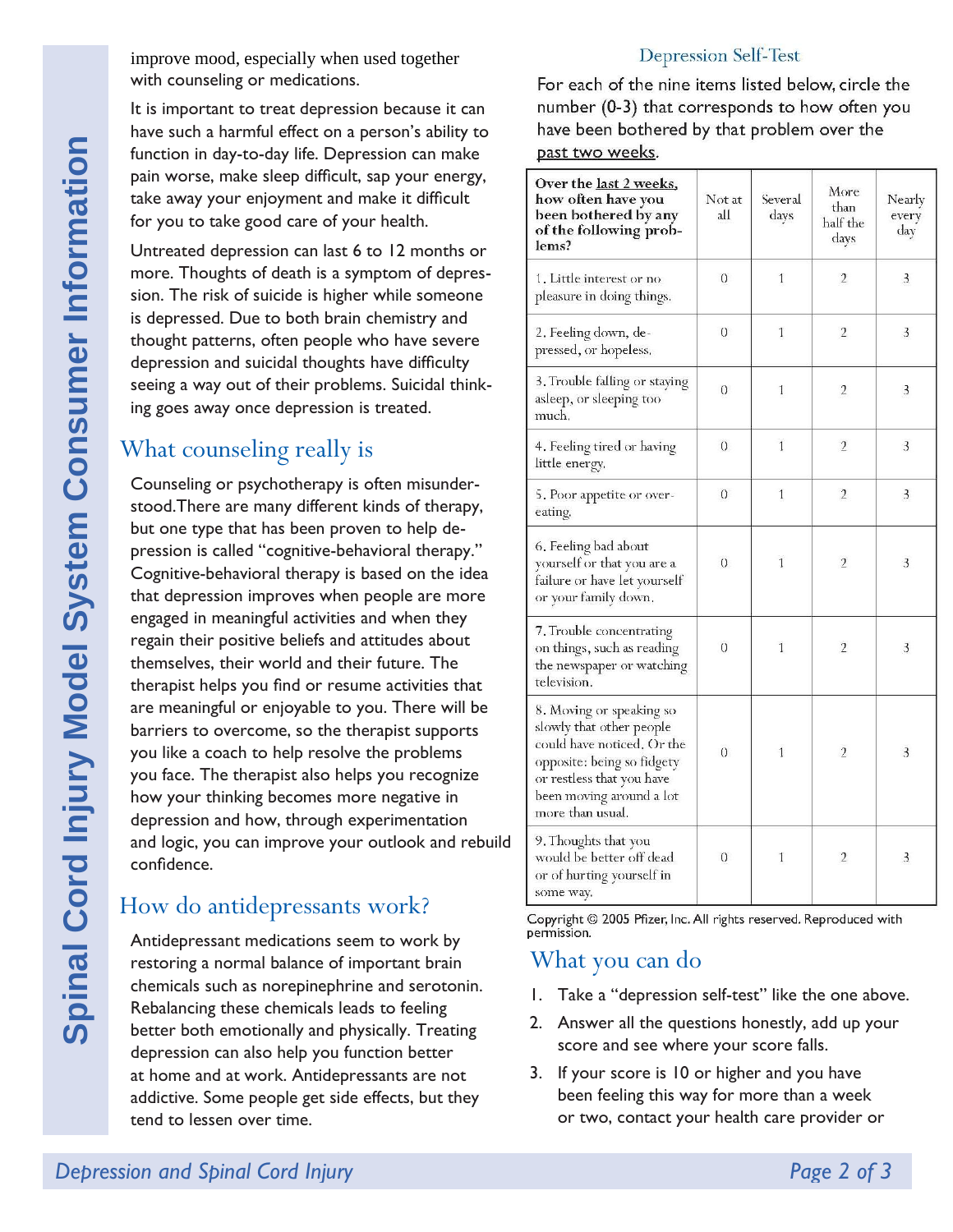improve mood, especially when used together with counseling or medications.

It is important to treat depression because it can have such a harmful effect on a person's ability to function in day-to-day life. Depression can make pain worse, make sleep difficult, sap your energy, take away your enjoyment and make it difficult for you to take good care of your health.

Untreated depression can last 6 to 12 months or more. Thoughts of death is a symptom of depression. The risk of suicide is higher while someone is depressed. Due to both brain chemistry and thought patterns, often people who have severe depression and suicidal thoughts have difficulty seeing a way out of their problems. Suicidal thinking goes away once depression is treated.

# What counseling really is

Counseling or psychotherapy is often misunderstood.There are many different kinds of therapy, but one type that has been proven to help depression is called "cognitive-behavioral therapy." Cognitive-behavioral therapy is based on the idea that depression improves when people are more engaged in meaningful activities and when they regain their positive beliefs and attitudes about themselves, their world and their future. The therapist helps you find or resume activities that are meaningful or enjoyable to you. There will be barriers to overcome, so the therapist supports you like a coach to help resolve the problems you face. The therapist also helps you recognize how your thinking becomes more negative in depression and how, through experimentation and logic, you can improve your outlook and rebuild confidence.

# How do antidepressants work?

Antidepressant medications seem to work by restoring a normal balance of important brain chemicals such as norepinephrine and serotonin. Rebalancing these chemicals leads to feeling better both emotionally and physically. Treating depression can also help you function better at home and at work. Antidepressants are not addictive. Some people get side effects, but they tend to lessen over time.

#### **Depression Self-Test**

For each of the nine items listed below, circle the number (0-3) that corresponds to how often you have been bothered by that problem over the past two weeks.

| Over the last 2 weeks,<br>how often have you<br>been bothered by any<br>of the following prob-<br>lems?                                                                                       | Not at<br>all    | Several<br>days | More<br>than<br>half the<br>days | Nearly<br>every<br>day |
|-----------------------------------------------------------------------------------------------------------------------------------------------------------------------------------------------|------------------|-----------------|----------------------------------|------------------------|
| 1. Little interest or no<br>pleasure in doing things.                                                                                                                                         | $\sigma$         | $\mathbf{1}$    | $\overline{2}$                   | 3                      |
| 2. Feeling down, de-<br>pressed, or hopeless.                                                                                                                                                 | $\boldsymbol{0}$ | 1               | $\overline{2}$                   | 3                      |
| 3. Trouble falling or staying<br>asleep, or sleeping too<br>much.                                                                                                                             | 0                | 1               | $\overline{2}$                   | 3                      |
| 4. Feeling tired or having<br>little energy.                                                                                                                                                  | $\overline{0}$   | $\overline{1}$  | $\overline{2}$                   | 3                      |
| 5. Poor appetite or over-<br>eating.                                                                                                                                                          | $\theta$         | 1               | $\overline{2}$                   | 3                      |
| 6. Feeling bad about<br>yourself or that you are a<br>failure or have let yourself<br>or your family down.                                                                                    | $\Omega$         | $\mathbf{1}$    | $\mathfrak{I}$                   | 3                      |
| 7. Trouble concentrating<br>on things, such as reading<br>the newspaper or watching<br>television.                                                                                            | $\sigma$         | 1               | $\overline{2}$                   | 3                      |
| 8. Moving or speaking so<br>slowly that other people<br>could have noticed, Or the<br>opposite: being so fidgety<br>or restless that you have<br>been moving around a lot<br>more than usual, | $\overline{0}$   | 1               | $\overline{2}$                   | 3                      |
| 9. Thoughts that you<br>would be better off dead<br>or of hurting yourself in<br>some way.                                                                                                    | $\theta$         | 1               | $\overline{2}$                   | 3                      |

Copyright @ 2005 Pfizer, Inc. All rights reserved. Reproduced with permission.

#### What you can do

- 1. Take a "depression self-test" like the one above.
- 2. Answer all the questions honestly, add up your score and see where your score falls.
- 3. If your score is 10 or higher and you have been feeling this way for more than a week or two, contact your health care provider or